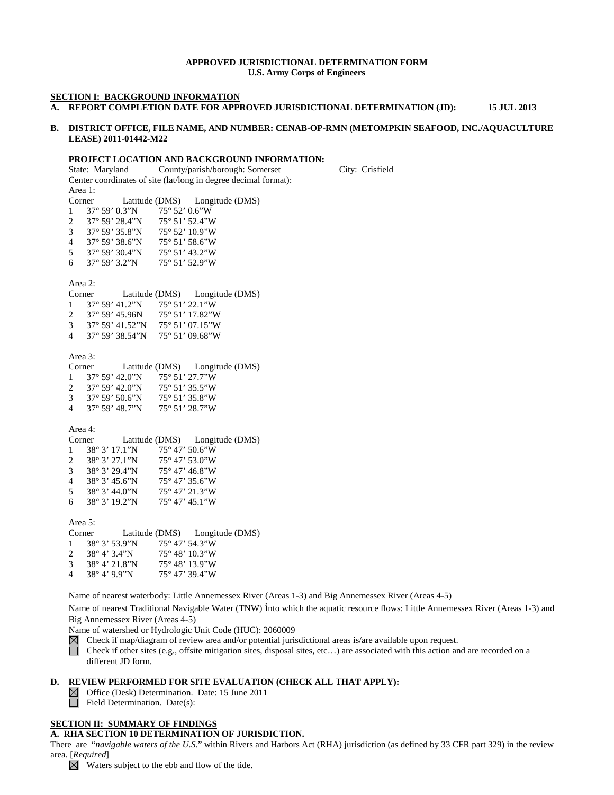#### **APPROVED JURISDICTIONAL DETERMINATION FORM U.S. Army Corps of Engineers**

#### **SECTION I: BACKGROUND INFORMATION**

**A. REPORT COMPLETION DATE FOR APPROVED JURISDICTIONAL DETERMINATION (JD): 15 JUL 2013**

### **B. DISTRICT OFFICE, FILE NAME, AND NUMBER: CENAB-OP-RMN (METOMPKIN SEAFOOD, INC./AQUACULTURE LEASE) 2011-01442-M22**

#### **PROJECT LOCATION AND BACKGROUND INFORMATION:**

State: Maryland County/parish/borough: Somerset City: Crisfield Center coordinates of site (lat/long in degree decimal format): Area 1: Corner Latitude (DMS) Longitude (DMS) 1 37° 59' 0.3"N 75° 52' 0.6"W<br>2 37° 59' 28.4"N 75° 51' 52.4"W 2 37° 59' 28.4"N 75° 51' 52.4"W<br>3 37° 59' 35.8"N 75° 52' 10.9"W 3 37° 59' 35.8"N 75° 52' 10.9"W<br>4 37° 59' 38.6"N 75° 51' 58.6"W 4 37° 59' 38.6"N 5 37° 59' 30.4"N 75° 51' 43.2"W<br>6 37° 59' 3.2"N 75° 51' 52.9"W 6 37° 59' 3.2"N 75° 51' 52.9"W Area 2: Corner Latitude (DMS) Longitude (DMS) 1 37° 59' 41.2"N 75° 51' 22.1"W 2 37° 59' 45.96N 75° 51' 17.82"W 3 37° 59' 41.52"N 75° 51' 07.15"W 4 37° 59' 38.54"N 75° 51' 09.68"W Area 3: Corner Latitude (DMS) Longitude (DMS) 1 37° 59' 42.0"N 75° 51' 27.7"W<br>2 37° 59' 42.0"N 75° 51' 35.5"W 2 37° 59' 42.0"N 75° 51' 35.5"W<br>3 37° 59' 50.6"N 75° 51' 35.8"W 3 37° 59' 50.6"N 75° 51' 35.8"W<br>4 37° 59' 48.7"N 75° 51' 28.7"W 4 37° 59' 48.7"N Area 4: Corner Latitude (DMS) Longitude (DMS) 1 38° 3' 17.1"N 75° 47' 50.6"W<br>2 38° 3' 27.1"N 75° 47' 53.0"W 2 38° 3' 27.1"N 75° 47' 53.0"W<br>3 38° 3' 29.4"N 75° 47' 46.8"W 3 38° 3' 29.4"N<br>4 38° 3' 45.6"N 4 38° 3' 45.6"N 75° 47' 35.6"W<br>5 38° 3' 44.0"N 75° 47' 21.3"W 5 38° 3' 44.0"N 75° 47' 21.3"W<br>6 38° 3' 19.2"N 75° 47' 45.1"W 6 38° 3' 19.2"N Area 5: Corner Latitude (DMS) Longitude (DMS) 1 38° 3' 53.9"N 75° 47' 54.3"W 2 38° 4' 3.4"N 75° 48' 10.3"W 3 38° 4' 21.8"N 75° 48' 13.9"W 4 38° 4' 9.9"N 75° 47' 39.4"W

Name of nearest waterbody: Little Annemessex River (Areas 1-3) and Big Annemessex River (Areas 4-5)

Name of nearest Traditional Navigable Water (TNW) into which the aquatic resource flows: Little Annemessex River (Areas 1-3) and Big Annemessex River (Areas 4-5)

Name of watershed or Hydrologic Unit Code (HUC): 2060009

- Check if map/diagram of review area and/or potential jurisdictional areas is/are available upon request.
- П Check if other sites (e.g., offsite mitigation sites, disposal sites, etc…) are associated with this action and are recorded on a different JD form.

#### **D. REVIEW PERFORMED FOR SITE EVALUATION (CHECK ALL THAT APPLY):**

 $\boxtimes$ Office (Desk) Determination. Date: 15 June 2011

 $\Box$  Field Determination. Date(s):

#### **SECTION II: SUMMARY OF FINDINGS**

#### **A. RHA SECTION 10 DETERMINATION OF JURISDICTION.**

There are "*navigable waters of the U.S.*" within Rivers and Harbors Act (RHA) jurisdiction (as defined by 33 CFR part 329) in the review area. [*Required*]

 $\boxtimes$  Waters subject to the ebb and flow of the tide.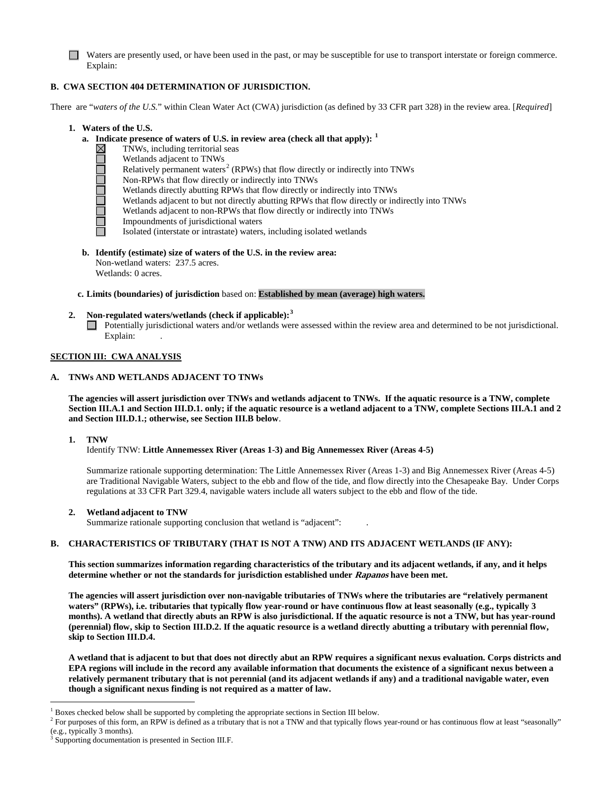Waters are presently used, or have been used in the past, or may be susceptible for use to transport interstate or foreign commerce. Explain:

## **B. CWA SECTION 404 DETERMINATION OF JURISDICTION.**

There are "*waters of the U.S.*" within Clean Water Act (CWA) jurisdiction (as defined by 33 CFR part 328) in the review area. [*Required*]

- **1. Waters of the U.S.**
	- **a. Indicate presence of waters of U.S. in review area (check all that apply): [1](#page-1-0)**
		- TNWs, including territorial seas
		- Wetlands adjacent to TNWs
		- Relatively permanent waters<sup>[2](#page-1-1)</sup> (RPWs) that flow directly or indirectly into TNWs
		- Non-RPWs that flow directly or indirectly into TNWs
		- Wetlands directly abutting RPWs that flow directly or indirectly into TNWs
		- Wetlands adjacent to but not directly abutting RPWs that flow directly or indirectly into TNWs
		- Wetlands adjacent to non-RPWs that flow directly or indirectly into TNWs
		- **NULLIAN DE** Impoundments of jurisdictional waters
			- Isolated (interstate or intrastate) waters, including isolated wetlands
	- **b. Identify (estimate) size of waters of the U.S. in the review area:** Non-wetland waters: 237.5 acres. Wetlands: 0 acres.

### **c. Limits (boundaries) of jurisdiction** based on: **Established by mean (average) high waters.**

## **2. Non-regulated waters/wetlands (check if applicable): [3](#page-1-2)**

Potentially jurisdictional waters and/or wetlands were assessed within the review area and determined to be not jurisdictional. Explain:

### **SECTION III: CWA ANALYSIS**

### **A. TNWs AND WETLANDS ADJACENT TO TNWs**

**The agencies will assert jurisdiction over TNWs and wetlands adjacent to TNWs. If the aquatic resource is a TNW, complete Section III.A.1 and Section III.D.1. only; if the aquatic resource is a wetland adjacent to a TNW, complete Sections III.A.1 and 2 and Section III.D.1.; otherwise, see Section III.B below**.

#### **1. TNW**

Identify TNW: **Little Annemessex River (Areas 1-3) and Big Annemessex River (Areas 4-5)**

Summarize rationale supporting determination: The Little Annemessex River (Areas 1-3) and Big Annemessex River (Areas 4-5) are Traditional Navigable Waters, subject to the ebb and flow of the tide, and flow directly into the Chesapeake Bay. Under Corps regulations at 33 CFR Part 329.4, navigable waters include all waters subject to the ebb and flow of the tide.

## **2. Wetland adjacent to TNW**

Summarize rationale supporting conclusion that wetland is "adjacent": .

## **B. CHARACTERISTICS OF TRIBUTARY (THAT IS NOT A TNW) AND ITS ADJACENT WETLANDS (IF ANY):**

**This section summarizes information regarding characteristics of the tributary and its adjacent wetlands, if any, and it helps determine whether or not the standards for jurisdiction established under Rapanos have been met.** 

**The agencies will assert jurisdiction over non-navigable tributaries of TNWs where the tributaries are "relatively permanent waters" (RPWs), i.e. tributaries that typically flow year-round or have continuous flow at least seasonally (e.g., typically 3 months). A wetland that directly abuts an RPW is also jurisdictional. If the aquatic resource is not a TNW, but has year-round (perennial) flow, skip to Section III.D.2. If the aquatic resource is a wetland directly abutting a tributary with perennial flow, skip to Section III.D.4.**

**A wetland that is adjacent to but that does not directly abut an RPW requires a significant nexus evaluation. Corps districts and EPA regions will include in the record any available information that documents the existence of a significant nexus between a relatively permanent tributary that is not perennial (and its adjacent wetlands if any) and a traditional navigable water, even though a significant nexus finding is not required as a matter of law.**

 <sup>1</sup> Boxes checked below shall be supported by completing the appropriate sections in Section III below.

<span id="page-1-1"></span><span id="page-1-0"></span><sup>&</sup>lt;sup>2</sup> For purposes of this form, an RPW is defined as a tributary that is not a TNW and that typically flows year-round or has continuous flow at least "seasonally" (e.g., typically 3 months).<br> $3$  Supporting documentation is presented in Section III.F.

<span id="page-1-2"></span>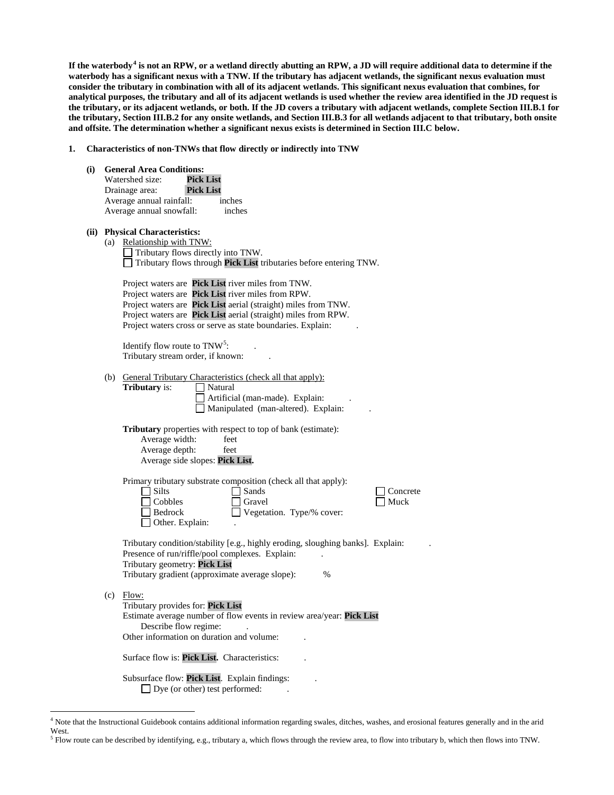**If the waterbody[4](#page-2-0) is not an RPW, or a wetland directly abutting an RPW, a JD will require additional data to determine if the waterbody has a significant nexus with a TNW. If the tributary has adjacent wetlands, the significant nexus evaluation must consider the tributary in combination with all of its adjacent wetlands. This significant nexus evaluation that combines, for analytical purposes, the tributary and all of its adjacent wetlands is used whether the review area identified in the JD request is the tributary, or its adjacent wetlands, or both. If the JD covers a tributary with adjacent wetlands, complete Section III.B.1 for the tributary, Section III.B.2 for any onsite wetlands, and Section III.B.3 for all wetlands adjacent to that tributary, both onsite and offsite. The determination whether a significant nexus exists is determined in Section III.C below.**

**1. Characteristics of non-TNWs that flow directly or indirectly into TNW**

**(i) General Area Conditions:**

| Watershed size:          | Pick List        |        |
|--------------------------|------------------|--------|
| Drainage area:           | <b>Pick List</b> |        |
| Average annual rainfall: |                  | inches |
| Average annual snowfall: |                  | inches |

# **(ii) Physical Characteristics:**

(a) Relationship with TNW:  $\Box$  Tributary flows directly into TNW. Tributary flows through **Pick List** tributaries before entering TNW.

Project waters are **Pick List** river miles from TNW. Project waters are **Pick List** river miles from RPW. Project waters are **Pick List** aerial (straight) miles from TNW. Project waters are **Pick List** aerial (straight) miles from RPW. Project waters cross or serve as state boundaries. Explain:

Identify flow route to  $TNW^5$  $TNW^5$ :  $\qquad \qquad$ . Tributary stream order, if known: .

| (b) | General Tributary Characteristics (check all that apply):                       |
|-----|---------------------------------------------------------------------------------|
|     | <b>Tributary</b> is:<br>Natural                                                 |
|     | Artificial (man-made). Explain:                                                 |
|     | Manipulated (man-altered). Explain:                                             |
|     |                                                                                 |
|     | <b>Tributary</b> properties with respect to top of bank (estimate):             |
|     | Average width:<br>feet                                                          |
|     | Average depth:<br>feet                                                          |
|     | Average side slopes: Pick List.                                                 |
|     |                                                                                 |
|     | Primary tributary substrate composition (check all that apply):                 |
|     | <b>Silts</b><br>Sands<br>Concrete                                               |
|     | Cobbles<br>Muck<br>Gravel                                                       |
|     | Bedrock<br>Vegetation. Type/% cover:                                            |
|     | Other. Explain:                                                                 |
|     |                                                                                 |
|     | Tributary condition/stability [e.g., highly eroding, sloughing banks]. Explain: |
|     | Presence of run/riffle/pool complexes. Explain:                                 |
|     | Tributary geometry: Pick List                                                   |
|     | Tributary gradient (approximate average slope):<br>$\frac{0}{0}$                |
|     |                                                                                 |
| (c) | Flow:                                                                           |
|     | Tributary provides for: Pick List                                               |
|     | Estimate average number of flow events in review area/year: Pick List           |
|     | Describe flow regime:                                                           |
|     | Other information on duration and volume:                                       |
|     |                                                                                 |
|     | Surface flow is: <b>Pick List.</b> Characteristics:                             |
|     |                                                                                 |
|     | Subsurface flow: Pick List. Explain findings:                                   |
|     | Dye (or other) test performed:                                                  |

<span id="page-2-0"></span> <sup>4</sup> Note that the Instructional Guidebook contains additional information regarding swales, ditches, washes, and erosional features generally and in the arid West.

<span id="page-2-1"></span> $<sup>5</sup>$  Flow route can be described by identifying, e.g., tributary a, which flows through the review area, to flow into tributary b, which then flows into TNW.</sup>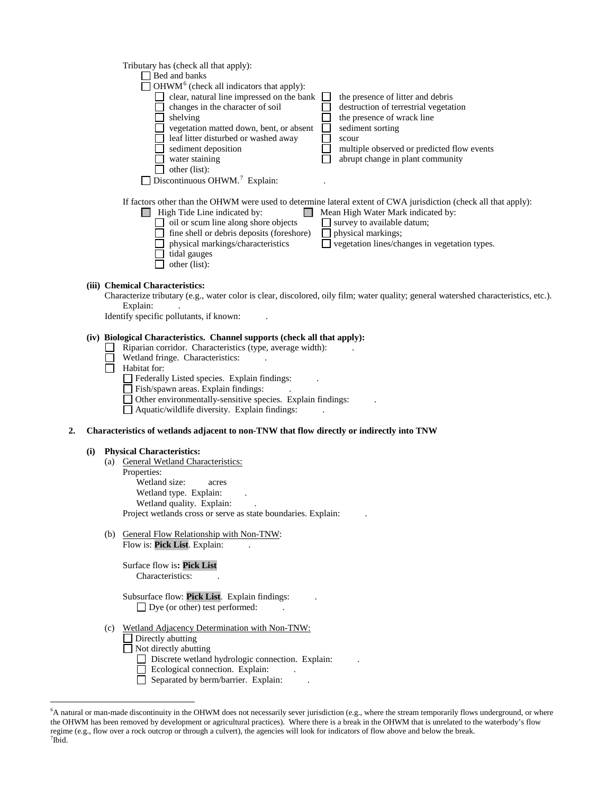|    |     | Tributary has (check all that apply):                                                                                                                                                                                                                                                                                                                                                                                                                                       |
|----|-----|-----------------------------------------------------------------------------------------------------------------------------------------------------------------------------------------------------------------------------------------------------------------------------------------------------------------------------------------------------------------------------------------------------------------------------------------------------------------------------|
|    |     | $\Box$ Bed and banks<br>OHWM <sup>6</sup> (check all indicators that apply):                                                                                                                                                                                                                                                                                                                                                                                                |
|    |     | $\Box$ clear, natural line impressed on the bank<br>the presence of litter and debris                                                                                                                                                                                                                                                                                                                                                                                       |
|    |     | changes in the character of soil<br>destruction of terrestrial vegetation                                                                                                                                                                                                                                                                                                                                                                                                   |
|    |     | shelving<br>the presence of wrack line                                                                                                                                                                                                                                                                                                                                                                                                                                      |
|    |     | vegetation matted down, bent, or absent<br>sediment sorting<br>$\Box$                                                                                                                                                                                                                                                                                                                                                                                                       |
|    |     | leaf litter disturbed or washed away<br>scour<br>sediment deposition<br>multiple observed or predicted flow events                                                                                                                                                                                                                                                                                                                                                          |
|    |     | abrupt change in plant community<br>water staining                                                                                                                                                                                                                                                                                                                                                                                                                          |
|    |     | other (list):                                                                                                                                                                                                                                                                                                                                                                                                                                                               |
|    |     | Discontinuous OHWM. <sup>7</sup> Explain:                                                                                                                                                                                                                                                                                                                                                                                                                                   |
|    |     | If factors other than the OHWM were used to determine lateral extent of CWA jurisdiction (check all that apply):<br>$\Box$ High Tide Line indicated by:<br>Mean High Water Mark indicated by:<br>$\Box$ oil or scum line along shore objects<br>$\Box$ survey to available datum;<br>fine shell or debris deposits (foreshore)<br>physical markings;<br>physical markings/characteristics<br>vegetation lines/changes in vegetation types.<br>tidal gauges<br>other (list): |
|    |     | (iii) Chemical Characteristics:                                                                                                                                                                                                                                                                                                                                                                                                                                             |
|    |     | Characterize tributary (e.g., water color is clear, discolored, oily film; water quality; general watershed characteristics, etc.).                                                                                                                                                                                                                                                                                                                                         |
|    |     | Explain:                                                                                                                                                                                                                                                                                                                                                                                                                                                                    |
|    |     | Identify specific pollutants, if known:                                                                                                                                                                                                                                                                                                                                                                                                                                     |
|    |     | (iv) Biological Characteristics. Channel supports (check all that apply):                                                                                                                                                                                                                                                                                                                                                                                                   |
|    |     | Riparian corridor. Characteristics (type, average width):                                                                                                                                                                                                                                                                                                                                                                                                                   |
|    |     | Wetland fringe. Characteristics:<br>Habitat for:                                                                                                                                                                                                                                                                                                                                                                                                                            |
|    |     | Federally Listed species. Explain findings:                                                                                                                                                                                                                                                                                                                                                                                                                                 |
|    |     | Fish/spawn areas. Explain findings:                                                                                                                                                                                                                                                                                                                                                                                                                                         |
|    |     | Other environmentally-sensitive species. Explain findings:                                                                                                                                                                                                                                                                                                                                                                                                                  |
|    |     | Aquatic/wildlife diversity. Explain findings:                                                                                                                                                                                                                                                                                                                                                                                                                               |
| 2. |     | Characteristics of wetlands adjacent to non-TNW that flow directly or indirectly into TNW                                                                                                                                                                                                                                                                                                                                                                                   |
|    | (i) | <b>Physical Characteristics:</b>                                                                                                                                                                                                                                                                                                                                                                                                                                            |
|    |     | (a) General Wetland Characteristics:                                                                                                                                                                                                                                                                                                                                                                                                                                        |
|    |     | Properties:                                                                                                                                                                                                                                                                                                                                                                                                                                                                 |
|    |     | Wetland size:<br>acres                                                                                                                                                                                                                                                                                                                                                                                                                                                      |
|    |     | Wetland type. Explain:<br>Wetland quality. Explain:                                                                                                                                                                                                                                                                                                                                                                                                                         |
|    |     | Project wetlands cross or serve as state boundaries. Explain:                                                                                                                                                                                                                                                                                                                                                                                                               |
|    |     |                                                                                                                                                                                                                                                                                                                                                                                                                                                                             |
|    |     | (b) General Flow Relationship with Non-TNW:<br>Flow is: Pick List. Explain:                                                                                                                                                                                                                                                                                                                                                                                                 |
|    |     |                                                                                                                                                                                                                                                                                                                                                                                                                                                                             |
|    |     | Surface flow is: Pick List                                                                                                                                                                                                                                                                                                                                                                                                                                                  |
|    |     | Characteristics:                                                                                                                                                                                                                                                                                                                                                                                                                                                            |
|    |     | Subsurface flow: Pick List. Explain findings:                                                                                                                                                                                                                                                                                                                                                                                                                               |
|    |     | $\Box$ Dye (or other) test performed:                                                                                                                                                                                                                                                                                                                                                                                                                                       |
|    |     | (c) Wetland Adjacency Determination with Non-TNW:                                                                                                                                                                                                                                                                                                                                                                                                                           |
|    |     | Directly abutting                                                                                                                                                                                                                                                                                                                                                                                                                                                           |
|    |     | Not directly abutting                                                                                                                                                                                                                                                                                                                                                                                                                                                       |
|    |     | Discrete wetland hydrologic connection. Explain:<br>Ecological connection. Explain:                                                                                                                                                                                                                                                                                                                                                                                         |
|    |     |                                                                                                                                                                                                                                                                                                                                                                                                                                                                             |

Separated by berm/barrier. Explain: .

<span id="page-3-1"></span><span id="page-3-0"></span> <sup>6</sup> <sup>6</sup>A natural or man-made discontinuity in the OHWM does not necessarily sever jurisdiction (e.g., where the stream temporarily flows underground, or where the OHWM has been removed by development or agricultural practices). Where there is a break in the OHWM that is unrelated to the waterbody's flow regime (e.g., flow over a rock outcrop or through a culvert), the agencies will look for indicators of flow above and below the break.<br><sup>7</sup>Ibid.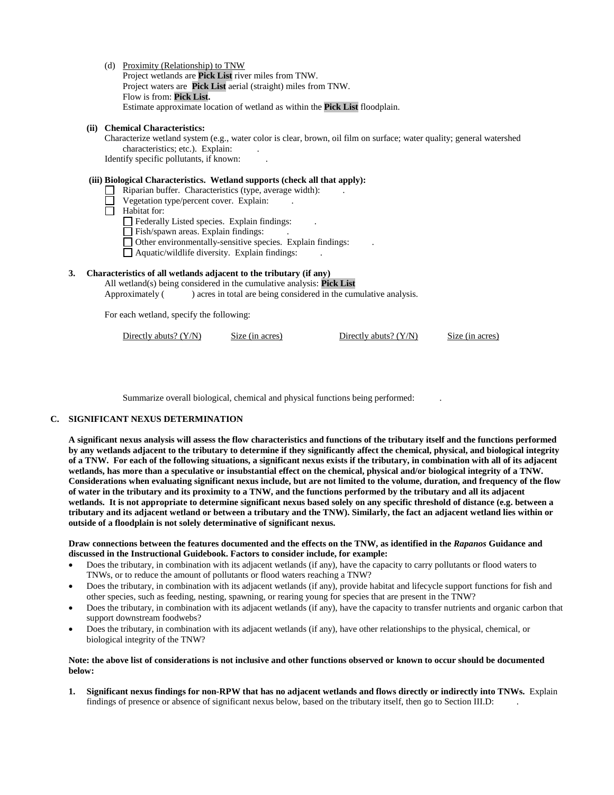(d) Proximity (Relationship) to TNW

Project wetlands are **Pick List** river miles from TNW. Project waters are **Pick List** aerial (straight) miles from TNW. Flow is from: **Pick List.** Estimate approximate location of wetland as within the **Pick List** floodplain.

### **(ii) Chemical Characteristics:**

Characterize wetland system (e.g., water color is clear, brown, oil film on surface; water quality; general watershed characteristics; etc.). Explain: Identify specific pollutants, if known: .

# **(iii) Biological Characteristics. Wetland supports (check all that apply):**

- Riparian buffer. Characteristics (type, average width): .
	- Vegetation type/percent cover. Explain: .
- $\overline{\Box}$  Habitat for:

Federally Listed species. Explain findings: .

Fish/spawn areas. Explain findings:

Other environmentally-sensitive species. Explain findings: .

Aquatic/wildlife diversity. Explain findings: .

## **3. Characteristics of all wetlands adjacent to the tributary (if any)**

All wetland(s) being considered in the cumulative analysis: **Pick List** Approximately () acres in total are being considered in the cumulative analysis.

For each wetland, specify the following:

Directly abuts? (Y/N) Size (in acres) Directly abuts? (Y/N) Size (in acres)

Summarize overall biological, chemical and physical functions being performed: .

## **C. SIGNIFICANT NEXUS DETERMINATION**

**A significant nexus analysis will assess the flow characteristics and functions of the tributary itself and the functions performed by any wetlands adjacent to the tributary to determine if they significantly affect the chemical, physical, and biological integrity of a TNW. For each of the following situations, a significant nexus exists if the tributary, in combination with all of its adjacent wetlands, has more than a speculative or insubstantial effect on the chemical, physical and/or biological integrity of a TNW. Considerations when evaluating significant nexus include, but are not limited to the volume, duration, and frequency of the flow of water in the tributary and its proximity to a TNW, and the functions performed by the tributary and all its adjacent wetlands. It is not appropriate to determine significant nexus based solely on any specific threshold of distance (e.g. between a tributary and its adjacent wetland or between a tributary and the TNW). Similarly, the fact an adjacent wetland lies within or outside of a floodplain is not solely determinative of significant nexus.** 

**Draw connections between the features documented and the effects on the TNW, as identified in the** *Rapanos* **Guidance and discussed in the Instructional Guidebook. Factors to consider include, for example:**

- Does the tributary, in combination with its adjacent wetlands (if any), have the capacity to carry pollutants or flood waters to TNWs, or to reduce the amount of pollutants or flood waters reaching a TNW?
- Does the tributary, in combination with its adjacent wetlands (if any), provide habitat and lifecycle support functions for fish and other species, such as feeding, nesting, spawning, or rearing young for species that are present in the TNW?
- Does the tributary, in combination with its adjacent wetlands (if any), have the capacity to transfer nutrients and organic carbon that support downstream foodwebs?
- Does the tributary, in combination with its adjacent wetlands (if any), have other relationships to the physical, chemical, or biological integrity of the TNW?

### **Note: the above list of considerations is not inclusive and other functions observed or known to occur should be documented below:**

**1. Significant nexus findings for non-RPW that has no adjacent wetlands and flows directly or indirectly into TNWs.** Explain findings of presence or absence of significant nexus below, based on the tributary itself, then go to Section III.D: .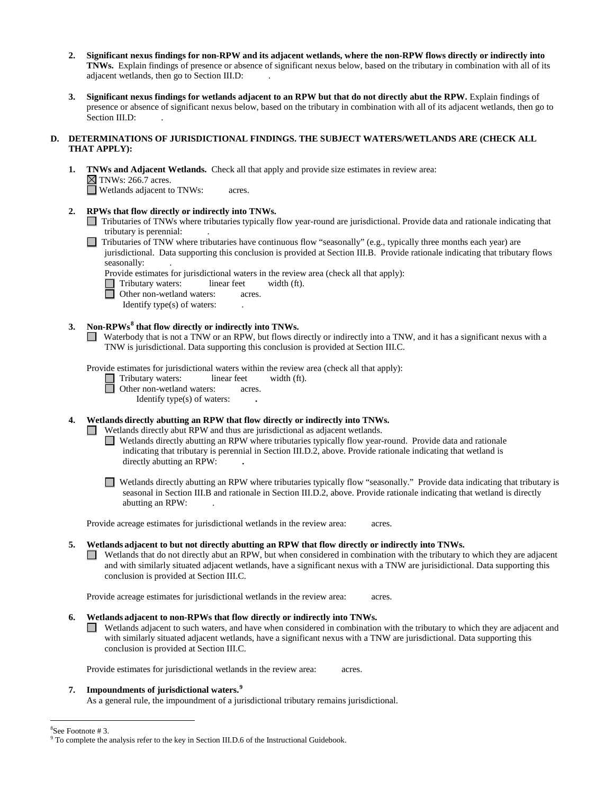- **2. Significant nexus findings for non-RPW and its adjacent wetlands, where the non-RPW flows directly or indirectly into TNWs.** Explain findings of presence or absence of significant nexus below, based on the tributary in combination with all of its adjacent wetlands, then go to Section III.D: .
- **3. Significant nexus findings for wetlands adjacent to an RPW but that do not directly abut the RPW.** Explain findings of presence or absence of significant nexus below, based on the tributary in combination with all of its adjacent wetlands, then go to Section III.D:

### **D. DETERMINATIONS OF JURISDICTIONAL FINDINGS. THE SUBJECT WATERS/WETLANDS ARE (CHECK ALL THAT APPLY):**

**1. TNWs and Adjacent Wetlands.** Check all that apply and provide size estimates in review area:  $\boxtimes$  TNWs: 266.7 acres. Wetlands adjacent to TNWs: acres.

**2. RPWs that flow directly or indirectly into TNWs.**

Tributaries of TNWs where tributaries typically flow year-round are jurisdictional. Provide data and rationale indicating that tributary is perennial: .

Tributaries of TNW where tributaries have continuous flow "seasonally" (e.g., typically three months each year) are jurisdictional. Data supporting this conclusion is provided at Section III.B. Provide rationale indicating that tributary flows seasonally: .

Provide estimates for jurisdictional waters in the review area (check all that apply):

Tributary waters: linear feet width (ft).

- Other non-wetland waters: acres.
	- Identify type(s) of waters: .

# **3. Non-RPWs[8](#page-5-0) that flow directly or indirectly into TNWs.**

Waterbody that is not a TNW or an RPW, but flows directly or indirectly into a TNW, and it has a significant nexus with a TNW is jurisdictional. Data supporting this conclusion is provided at Section III.C.

Provide estimates for jurisdictional waters within the review area (check all that apply):

Tributary waters: linear feet width (ft).

Other non-wetland waters: acres.

Identify type(s) of waters: **.**

**4. Wetlands directly abutting an RPW that flow directly or indirectly into TNWs.** 

Wetlands directly abut RPW and thus are jurisdictional as adjacent wetlands.

- Wetlands directly abutting an RPW where tributaries typically flow year-round. Provide data and rationale indicating that tributary is perennial in Section III.D.2, above. Provide rationale indicating that wetland is directly abutting an RPW: **.**
- $\Box$  Wetlands directly abutting an RPW where tributaries typically flow "seasonally." Provide data indicating that tributary is seasonal in Section III.B and rationale in Section III.D.2, above. Provide rationale indicating that wetland is directly abutting an RPW: .

Provide acreage estimates for jurisdictional wetlands in the review area: acres.

## **5. Wetlands adjacent to but not directly abutting an RPW that flow directly or indirectly into TNWs.**

Wetlands that do not directly abut an RPW, but when considered in combination with the tributary to which they are adjacent and with similarly situated adjacent wetlands, have a significant nexus with a TNW are jurisidictional. Data supporting this conclusion is provided at Section III.C.

Provide acreage estimates for jurisdictional wetlands in the review area: acres.

- **6. Wetlands adjacent to non-RPWs that flow directly or indirectly into TNWs.** 
	- Wetlands adjacent to such waters, and have when considered in combination with the tributary to which they are adjacent and with similarly situated adjacent wetlands, have a significant nexus with a TNW are jurisdictional. Data supporting this conclusion is provided at Section III.C.

Provide estimates for jurisdictional wetlands in the review area: acres.

## **7. Impoundments of jurisdictional waters. [9](#page-5-1)**

As a general rule, the impoundment of a jurisdictional tributary remains jurisdictional.

8

<span id="page-5-1"></span><span id="page-5-0"></span><sup>&</sup>lt;sup>8</sup>See Footnote # 3.<br><sup>9</sup> To complete the analysis refer to the key in Section III.D.6 of the Instructional Guidebook.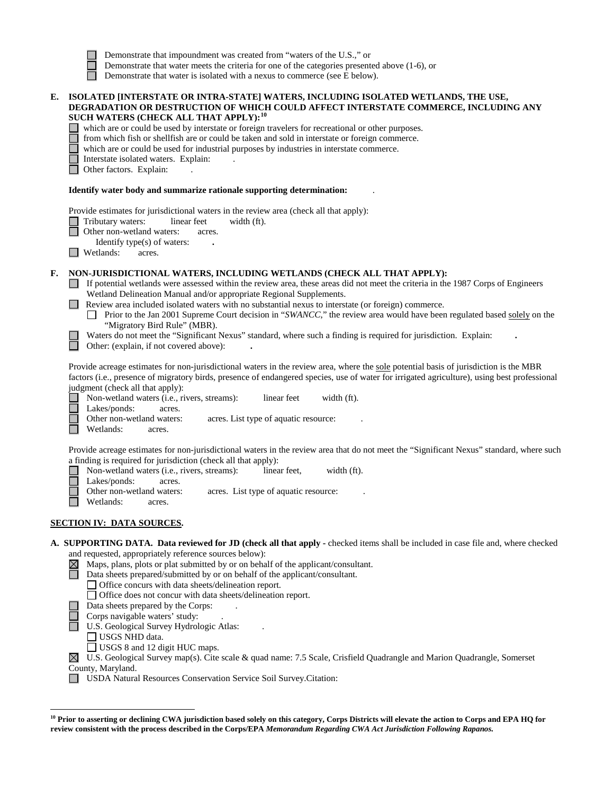|    | Demonstrate that water meets the criteria for one of the categories presented above (1-6), or<br>Demonstrate that water is isolated with a nexus to commerce (see E below).                                                                                                                                                                                                                                                                                                                                                                                                                                                                                                                                       |
|----|-------------------------------------------------------------------------------------------------------------------------------------------------------------------------------------------------------------------------------------------------------------------------------------------------------------------------------------------------------------------------------------------------------------------------------------------------------------------------------------------------------------------------------------------------------------------------------------------------------------------------------------------------------------------------------------------------------------------|
| E. | ISOLATED [INTERSTATE OR INTRA-STATE] WATERS, INCLUDING ISOLATED WETLANDS, THE USE,<br>DEGRADATION OR DESTRUCTION OF WHICH COULD AFFECT INTERSTATE COMMERCE, INCLUDING ANY<br>SUCH WATERS (CHECK ALL THAT APPLY): <sup>10</sup><br>which are or could be used by interstate or foreign travelers for recreational or other purposes.<br>from which fish or shellfish are or could be taken and sold in interstate or foreign commerce.<br>which are or could be used for industrial purposes by industries in interstate commerce.<br>Interstate isolated waters. Explain:<br>Other factors. Explain:                                                                                                              |
|    | Identify water body and summarize rationale supporting determination:                                                                                                                                                                                                                                                                                                                                                                                                                                                                                                                                                                                                                                             |
|    | Provide estimates for jurisdictional waters in the review area (check all that apply):<br>Tributary waters:<br>linear feet<br>width (ft).<br>Other non-wetland waters:<br>acres.<br>Identify type(s) of waters:<br>Wetlands:<br>acres.                                                                                                                                                                                                                                                                                                                                                                                                                                                                            |
| F. | NON-JURISDICTIONAL WATERS, INCLUDING WETLANDS (CHECK ALL THAT APPLY):<br>If potential wetlands were assessed within the review area, these areas did not meet the criteria in the 1987 Corps of Engineers<br>Wetland Delineation Manual and/or appropriate Regional Supplements.<br>Review area included isolated waters with no substantial nexus to interstate (or foreign) commerce.<br>Prior to the Jan 2001 Supreme Court decision in "SWANCC," the review area would have been regulated based solely on the<br>"Migratory Bird Rule" (MBR).<br>Waters do not meet the "Significant Nexus" standard, where such a finding is required for jurisdiction. Explain:<br>Other: (explain, if not covered above): |
|    | Provide acreage estimates for non-jurisdictional waters in the review area, where the sole potential basis of jurisdiction is the MBR<br>factors (i.e., presence of migratory birds, presence of endangered species, use of water for irrigated agriculture), using best professional<br>judgment (check all that apply):<br>Non-wetland waters (i.e., rivers, streams):<br>linear feet<br>width (ft).<br>Lakes/ponds:<br>acres.<br>Other non-wetland waters:<br>acres. List type of aquatic resource:<br>Wetlands:<br>acres.                                                                                                                                                                                     |
|    | Provide acreage estimates for non-jurisdictional waters in the review area that do not meet the "Significant Nexus" standard, where such<br>a finding is required for jurisdiction (check all that apply):<br>Non-wetland waters (i.e., rivers, streams):<br>linear feet,<br>width (ft).<br>Lakes/ponds:<br>acres.<br>Other non-wetland waters:<br>acres. List type of aquatic resource:<br>Wetlands:<br>acres.                                                                                                                                                                                                                                                                                                   |
|    | <b>SECTION IV: DATA SOURCES.</b>                                                                                                                                                                                                                                                                                                                                                                                                                                                                                                                                                                                                                                                                                  |
|    | A. SUPPORTING DATA. Data reviewed for JD (check all that apply - checked items shall be included in case file and, where checked<br>and requested, appropriately reference sources below):<br>Maps, plans, plots or plat submitted by or on behalf of the applicant/consultant.<br>$\boxtimes$<br>Data sheets prepared/submitted by or on behalf of the applicant/consultant.<br>□ Office concurs with data sheets/delineation report.<br>□ Office does not concur with data sheets/delineation report.<br>Data sheets prepared by the Corps:<br>Corps navigable waters' study:<br>U.S. Geological Survey Hydrologic Atlas:<br>USGS NHD data.<br>$1110000 - 1101$                                                 |

Demonstrate that impoundment was created from "waters of the U.S.," or

USGS 8 and 12 digit HUC maps.

 $\overline{a}$ 

 $\boxtimes$  U.S. Geological Survey map(s). Cite scale & quad name: 7.5 Scale, Crisfield Quadrangle and Marion Quadrangle, Somerset County, Maryland.

USDA Natural Resources Conservation Service Soil Survey.Citation:

<span id="page-6-0"></span><sup>&</sup>lt;sup>10</sup> Prior to asserting or declining CWA jurisdiction based solely on this category, Corps Districts will elevate the action to Corps and EPA HQ for **review consistent with the process described in the Corps/EPA** *Memorandum Regarding CWA Act Jurisdiction Following Rapanos.*